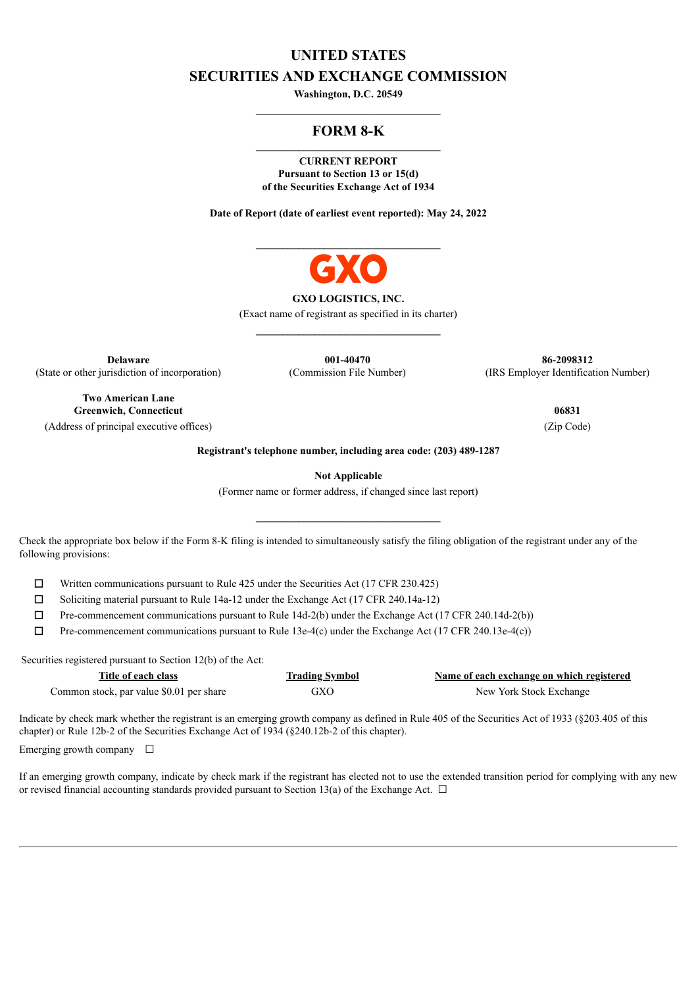# **UNITED STATES SECURITIES AND EXCHANGE COMMISSION**

**Washington, D.C. 20549 \_\_\_\_\_\_\_\_\_\_\_\_\_\_\_\_\_\_\_\_\_\_\_\_\_\_\_\_\_\_\_\_\_\_\_**

# **FORM 8-K**

**CURRENT REPORT Pursuant to Section 13 or 15(d) of the Securities Exchange Act of 1934**

**Date of Report (date of earliest event reported): May 24, 2022**



#### **GXO LOGISTICS, INC.**

(Exact name of registrant as specified in its charter) **\_\_\_\_\_\_\_\_\_\_\_\_\_\_\_\_\_\_\_\_\_\_\_\_\_\_\_\_\_\_\_\_\_\_\_**

**Delaware** (State or other jurisdiction of incorporation)

**001-40470** (Commission File Number)

**Two American Lane Greenwich, Connecticut 06831** (Address of principal executive offices) (Zip Code)

**86-2098312** (IRS Employer Identification Number)

**Registrant's telephone number, including area code: (203) 489-1287**

**Not Applicable**

(Former name or former address, if changed since last report)

Check the appropriate box below if the Form 8-K filing is intended to simultaneously satisfy the filing obligation of the registrant under any of the following provisions:

☐ Written communications pursuant to Rule 425 under the Securities Act (17 CFR 230.425)

 $\Box$  Soliciting material pursuant to Rule 14a-12 under the Exchange Act (17 CFR 240.14a-12)

 $\Box$  Pre-commencement communications pursuant to Rule 14d-2(b) under the Exchange Act (17 CFR 240.14d-2(b))

 $\Box$  Pre-commencement communications pursuant to Rule 13e-4(c) under the Exchange Act (17 CFR 240.13e-4(c))

Securities registered pursuant to Section 12(b) of the Act:

| Title of each class                      | <b>Trading Symbol</b> | Name of each exchange on which registered |
|------------------------------------------|-----------------------|-------------------------------------------|
| Common stock, par value \$0.01 per share | GXO                   | New York Stock Exchange                   |

Indicate by check mark whether the registrant is an emerging growth company as defined in Rule 405 of the Securities Act of 1933 (§203.405 of this chapter) or Rule 12b-2 of the Securities Exchange Act of 1934 (§240.12b-2 of this chapter).

Emerging growth company  $\Box$ 

If an emerging growth company, indicate by check mark if the registrant has elected not to use the extended transition period for complying with any new or revised financial accounting standards provided pursuant to Section 13(a) of the Exchange Act.  $\Box$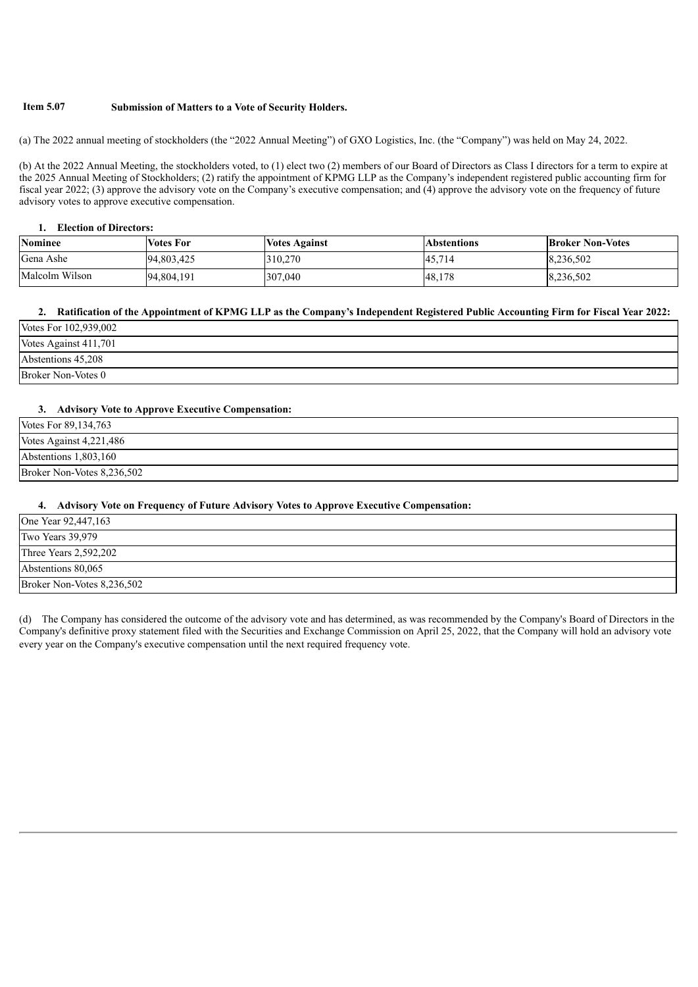### **Item 5.07 Submission of Matters to a Vote of Security Holders.**

(a) The 2022 annual meeting of stockholders (the "2022 Annual Meeting") of GXO Logistics, Inc. (the "Company") was held on May 24, 2022.

(b) At the 2022 Annual Meeting, the stockholders voted, to (1) elect two (2) members of our Board of Directors as Class I directors for a term to expire at the 2025 Annual Meeting of Stockholders; (2) ratify the appointment of KPMG LLP as the Company's independent registered public accounting firm for fiscal year 2022; (3) approve the advisory vote on the Company's executive compensation; and (4) approve the advisory vote on the frequency of future advisory votes to approve executive compensation.

#### **1. Election of Directors:**

| <b>Nominee</b> | <b>Votes For</b> | <b>Votes Against</b> | <b>Abstentions</b> | <b>Broker Non-Votes</b> |
|----------------|------------------|----------------------|--------------------|-------------------------|
| Gena Ashe      | 94,803,425       | 310,270              | 45,714             | 8,236,502               |
| Malcolm Wilson | 94,804,191       | 307,040              | 48,178             | 8,236,502               |

#### 2. Ratification of the Appointment of KPMG LLP as the Company's Independent Registered Public Accounting Firm for Fiscal Year 2022:

| Votes For 102,939,002 |  |
|-----------------------|--|
| Votes Against 411,701 |  |
| Abstentions 45,208    |  |
| Broker Non-Votes 0    |  |

### **3. Advisory Vote to Approve Executive Compensation:**

| Votes For 89,134,763       |  |
|----------------------------|--|
| Votes Against 4,221,486    |  |
| Abstentions 1,803,160      |  |
| Broker Non-Votes 8,236,502 |  |

#### **4. Advisory Vote on Frequency of Future Advisory Votes to Approve Executive Compensation:**

| One Year 92,447,163        |  |
|----------------------------|--|
| Two Years 39,979           |  |
| Three Years 2,592,202      |  |
| Abstentions 80,065         |  |
| Broker Non-Votes 8,236,502 |  |

(d) The Company has considered the outcome of the advisory vote and has determined, as was recommended by the Company's Board of Directors in the Company's definitive proxy statement filed with the Securities and Exchange Commission on April 25, 2022, that the Company will hold an advisory vote every year on the Company's executive compensation until the next required frequency vote.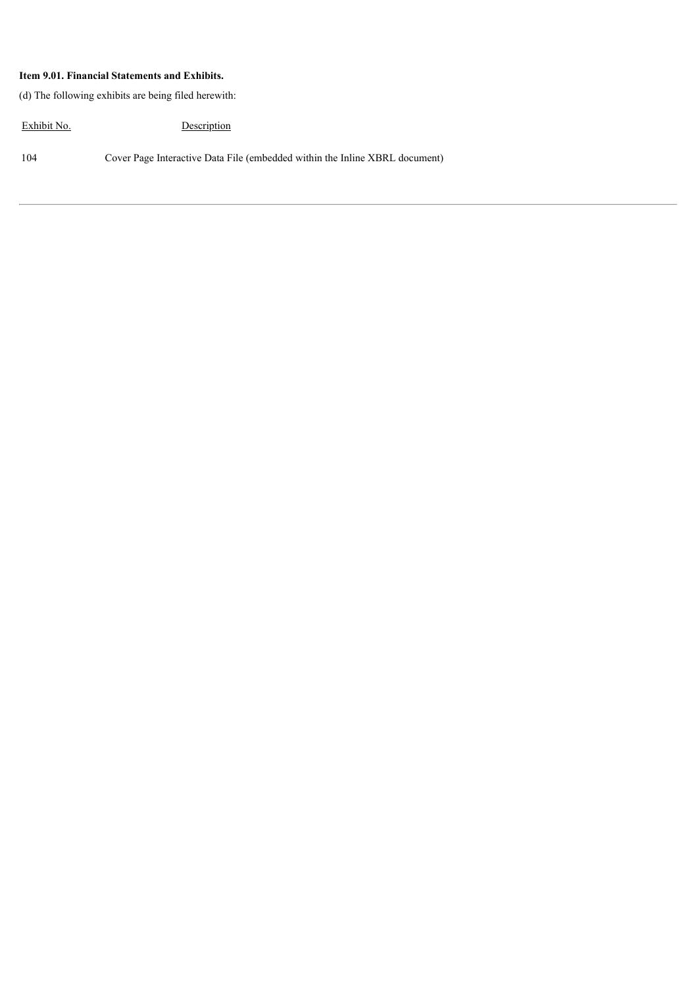## **Item 9.01. Financial Statements and Exhibits.**

(d) The following exhibits are being filed herewith:

Exhibit No. Description

104 Cover Page Interactive Data File (embedded within the Inline XBRL document)